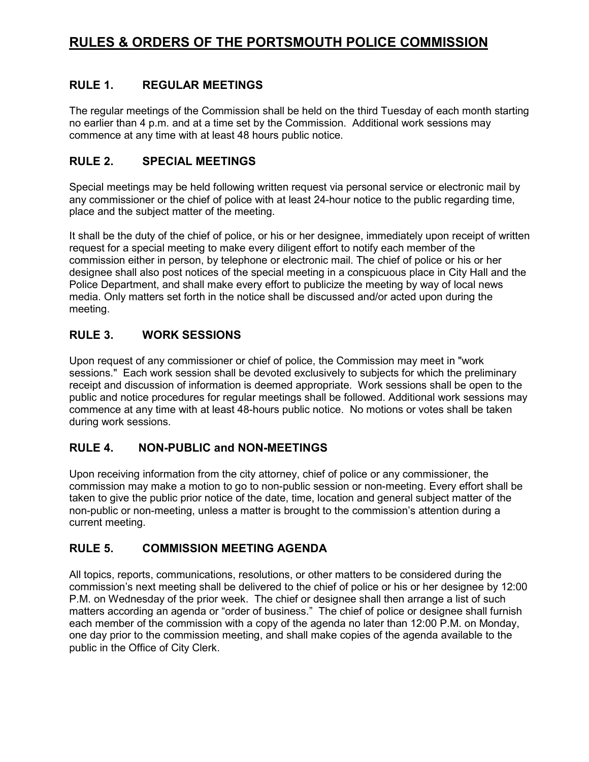## **RULE 1. REGULAR MEETINGS**

The regular meetings of the Commission shall be held on the third Tuesday of each month starting no earlier than 4 p.m. and at a time set by the Commission. Additional work sessions may commence at any time with at least 48 hours public notice.

### **RULE 2. SPECIAL MEETINGS**

Special meetings may be held following written request via personal service or electronic mail by any commissioner or the chief of police with at least 24-hour notice to the public regarding time, place and the subject matter of the meeting.

It shall be the duty of the chief of police, or his or her designee, immediately upon receipt of written request for a special meeting to make every diligent effort to notify each member of the commission either in person, by telephone or electronic mail. The chief of police or his or her designee shall also post notices of the special meeting in a conspicuous place in City Hall and the Police Department, and shall make every effort to publicize the meeting by way of local news media. Only matters set forth in the notice shall be discussed and/or acted upon during the meeting.

### **RULE 3. WORK SESSIONS**

Upon request of any commissioner or chief of police, the Commission may meet in "work sessions." Each work session shall be devoted exclusively to subjects for which the preliminary receipt and discussion of information is deemed appropriate. Work sessions shall be open to the public and notice procedures for regular meetings shall be followed. Additional work sessions may commence at any time with at least 48-hours public notice. No motions or votes shall be taken during work sessions.

### **RULE 4. NON-PUBLIC and NON-MEETINGS**

Upon receiving information from the city attorney, chief of police or any commissioner, the commission may make a motion to go to non-public session or non-meeting. Every effort shall be taken to give the public prior notice of the date, time, location and general subject matter of the non-public or non-meeting, unless a matter is brought to the commission's attention during a current meeting.

### **RULE 5. COMMISSION MEETING AGENDA**

All topics, reports, communications, resolutions, or other matters to be considered during the commission's next meeting shall be delivered to the chief of police or his or her designee by 12:00 P.M. on Wednesday of the prior week. The chief or designee shall then arrange a list of such matters according an agenda or "order of business." The chief of police or designee shall furnish each member of the commission with a copy of the agenda no later than 12:00 P.M. on Monday, one day prior to the commission meeting, and shall make copies of the agenda available to the public in the Office of City Clerk.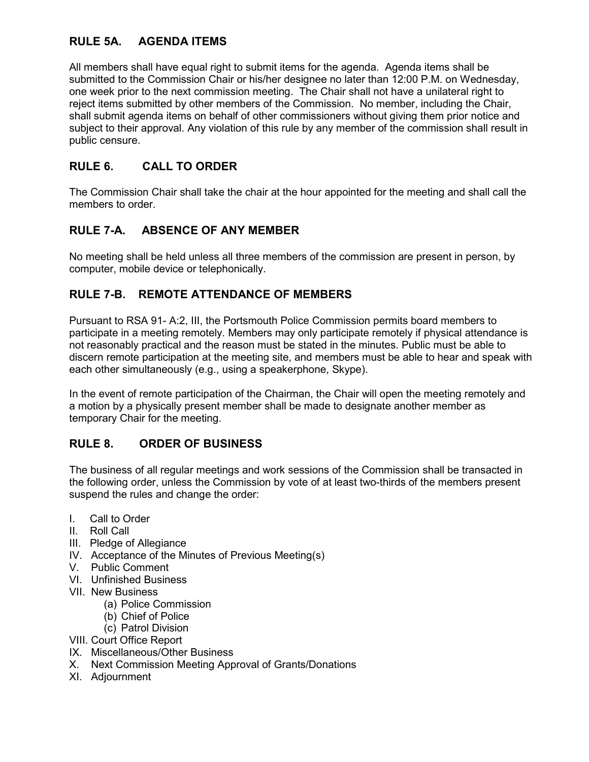# **RULE 5A. AGENDA ITEMS**

All members shall have equal right to submit items for the agenda. Agenda items shall be submitted to the Commission Chair or his/her designee no later than 12:00 P.M. on Wednesday, one week prior to the next commission meeting. The Chair shall not have a unilateral right to reject items submitted by other members of the Commission. No member, including the Chair, shall submit agenda items on behalf of other commissioners without giving them prior notice and subject to their approval. Any violation of this rule by any member of the commission shall result in public censure.

# **RULE 6. CALL TO ORDER**

The Commission Chair shall take the chair at the hour appointed for the meeting and shall call the members to order

### **RULE 7-A. ABSENCE OF ANY MEMBER**

No meeting shall be held unless all three members of the commission are present in person, by computer, mobile device or telephonically.

### **RULE 7-B. REMOTE ATTENDANCE OF MEMBERS**

Pursuant to RSA 91- A:2, III, the Portsmouth Police Commission permits board members to participate in a meeting remotely. Members may only participate remotely if physical attendance is not reasonably practical and the reason must be stated in the minutes. Public must be able to discern remote participation at the meeting site, and members must be able to hear and speak with each other simultaneously (e.g., using a speakerphone, Skype).

In the event of remote participation of the Chairman, the Chair will open the meeting remotely and a motion by a physically present member shall be made to designate another member as temporary Chair for the meeting.

### **RULE 8. ORDER OF BUSINESS**

The business of all regular meetings and work sessions of the Commission shall be transacted in the following order, unless the Commission by vote of at least two-thirds of the members present suspend the rules and change the order:

- I. Call to Order
- II. Roll Call
- III. Pledge of Allegiance
- IV. Acceptance of the Minutes of Previous Meeting(s)
- V. Public Comment
- VI. Unfinished Business
- VII. New Business
	- (a) Police Commission
	- (b) Chief of Police
	- (c) Patrol Division
- VIII. Court Office Report
- IX. Miscellaneous/Other Business
- X. Next Commission Meeting Approval of Grants/Donations
- XI. Adjournment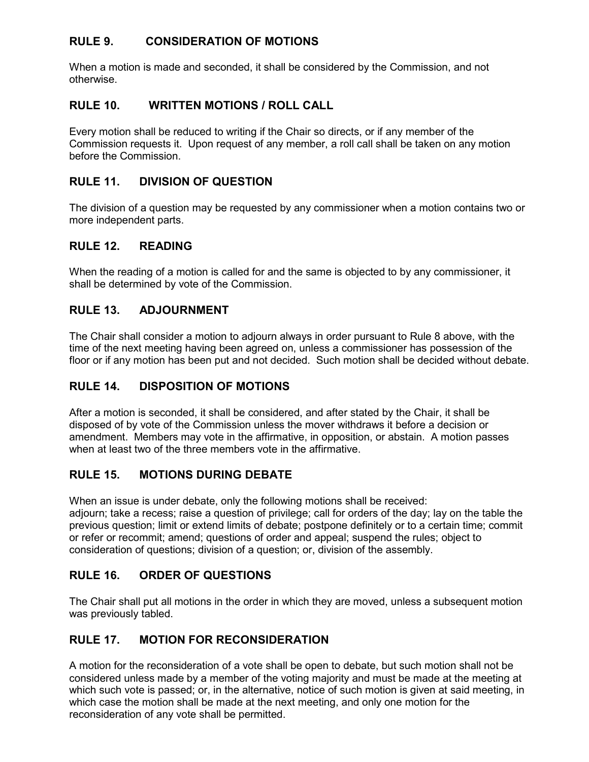## **RULE 9. CONSIDERATION OF MOTIONS**

When a motion is made and seconded, it shall be considered by the Commission, and not otherwise.

### **RULE 10. WRITTEN MOTIONS / ROLL CALL**

Every motion shall be reduced to writing if the Chair so directs, or if any member of the Commission requests it. Upon request of any member, a roll call shall be taken on any motion before the Commission.

## **RULE 11. DIVISION OF QUESTION**

The division of a question may be requested by any commissioner when a motion contains two or more independent parts.

### **RULE 12. READING**

When the reading of a motion is called for and the same is objected to by any commissioner, it shall be determined by vote of the Commission.

## **RULE 13. ADJOURNMENT**

The Chair shall consider a motion to adjourn always in order pursuant to Rule 8 above, with the time of the next meeting having been agreed on, unless a commissioner has possession of the floor or if any motion has been put and not decided. Such motion shall be decided without debate.

# **RULE 14. DISPOSITION OF MOTIONS**

After a motion is seconded, it shall be considered, and after stated by the Chair, it shall be disposed of by vote of the Commission unless the mover withdraws it before a decision or amendment. Members may vote in the affirmative, in opposition, or abstain. A motion passes when at least two of the three members vote in the affirmative.

# **RULE 15. MOTIONS DURING DEBATE**

When an issue is under debate, only the following motions shall be received:

adjourn; take a recess; raise a question of privilege; call for orders of the day; lay on the table the previous question; limit or extend limits of debate; postpone definitely or to a certain time; commit or refer or recommit; amend; questions of order and appeal; suspend the rules; object to consideration of questions; division of a question; or, division of the assembly.

### **RULE 16. ORDER OF QUESTIONS**

The Chair shall put all motions in the order in which they are moved, unless a subsequent motion was previously tabled.

### **RULE 17. MOTION FOR RECONSIDERATION**

A motion for the reconsideration of a vote shall be open to debate, but such motion shall not be considered unless made by a member of the voting majority and must be made at the meeting at which such vote is passed; or, in the alternative, notice of such motion is given at said meeting, in which case the motion shall be made at the next meeting, and only one motion for the reconsideration of any vote shall be permitted.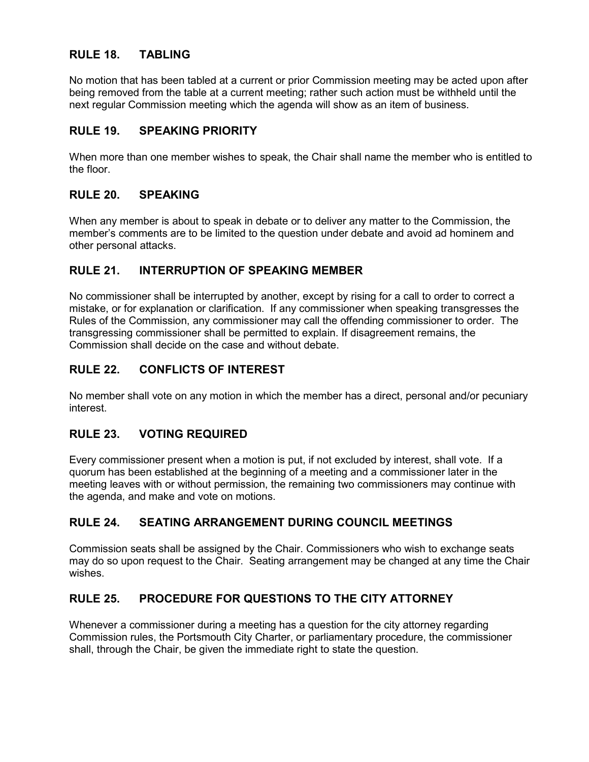### **RULE 18. TABLING**

No motion that has been tabled at a current or prior Commission meeting may be acted upon after being removed from the table at a current meeting; rather such action must be withheld until the next regular Commission meeting which the agenda will show as an item of business.

#### **RULE 19. SPEAKING PRIORITY**

When more than one member wishes to speak, the Chair shall name the member who is entitled to the floor.

#### **RULE 20. SPEAKING**

When any member is about to speak in debate or to deliver any matter to the Commission, the member's comments are to be limited to the question under debate and avoid ad hominem and other personal attacks.

#### **RULE 21. INTERRUPTION OF SPEAKING MEMBER**

No commissioner shall be interrupted by another, except by rising for a call to order to correct a mistake, or for explanation or clarification. If any commissioner when speaking transgresses the Rules of the Commission, any commissioner may call the offending commissioner to order. The transgressing commissioner shall be permitted to explain. If disagreement remains, the Commission shall decide on the case and without debate.

#### **RULE 22. CONFLICTS OF INTEREST**

No member shall vote on any motion in which the member has a direct, personal and/or pecuniary interest.

### **RULE 23. VOTING REQUIRED**

Every commissioner present when a motion is put, if not excluded by interest, shall vote. If a quorum has been established at the beginning of a meeting and a commissioner later in the meeting leaves with or without permission, the remaining two commissioners may continue with the agenda, and make and vote on motions.

### **RULE 24. SEATING ARRANGEMENT DURING COUNCIL MEETINGS**

Commission seats shall be assigned by the Chair. Commissioners who wish to exchange seats may do so upon request to the Chair. Seating arrangement may be changed at any time the Chair wishes.

### **RULE 25. PROCEDURE FOR QUESTIONS TO THE CITY ATTORNEY**

Whenever a commissioner during a meeting has a question for the city attorney regarding Commission rules, the Portsmouth City Charter, or parliamentary procedure, the commissioner shall, through the Chair, be given the immediate right to state the question.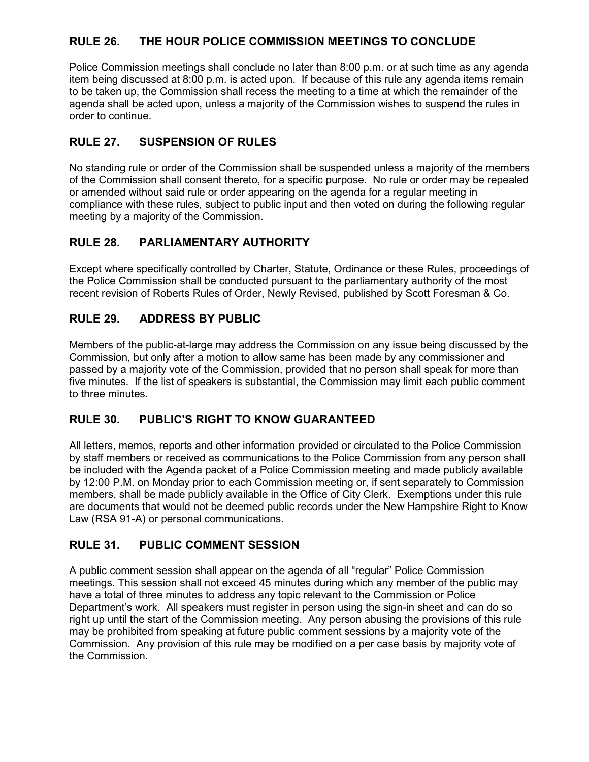## **RULE 26. THE HOUR POLICE COMMISSION MEETINGS TO CONCLUDE**

Police Commission meetings shall conclude no later than 8:00 p.m. or at such time as any agenda item being discussed at 8:00 p.m. is acted upon. If because of this rule any agenda items remain to be taken up, the Commission shall recess the meeting to a time at which the remainder of the agenda shall be acted upon, unless a majority of the Commission wishes to suspend the rules in order to continue.

# **RULE 27. SUSPENSION OF RULES**

No standing rule or order of the Commission shall be suspended unless a majority of the members of the Commission shall consent thereto, for a specific purpose. No rule or order may be repealed or amended without said rule or order appearing on the agenda for a regular meeting in compliance with these rules, subject to public input and then voted on during the following regular meeting by a majority of the Commission.

## **RULE 28. PARLIAMENTARY AUTHORITY**

Except where specifically controlled by Charter, Statute, Ordinance or these Rules, proceedings of the Police Commission shall be conducted pursuant to the parliamentary authority of the most recent revision of Roberts Rules of Order, Newly Revised, published by Scott Foresman & Co.

## **RULE 29. ADDRESS BY PUBLIC**

Members of the public-at-large may address the Commission on any issue being discussed by the Commission, but only after a motion to allow same has been made by any commissioner and passed by a majority vote of the Commission, provided that no person shall speak for more than five minutes. If the list of speakers is substantial, the Commission may limit each public comment to three minutes.

### **RULE 30. PUBLIC'S RIGHT TO KNOW GUARANTEED**

All letters, memos, reports and other information provided or circulated to the Police Commission by staff members or received as communications to the Police Commission from any person shall be included with the Agenda packet of a Police Commission meeting and made publicly available by 12:00 P.M. on Monday prior to each Commission meeting or, if sent separately to Commission members, shall be made publicly available in the Office of City Clerk. Exemptions under this rule are documents that would not be deemed public records under the New Hampshire Right to Know Law (RSA 91-A) or personal communications.

### **RULE 31. PUBLIC COMMENT SESSION**

A public comment session shall appear on the agenda of all "regular" Police Commission meetings. This session shall not exceed 45 minutes during which any member of the public may have a total of three minutes to address any topic relevant to the Commission or Police Department's work. All speakers must register in person using the sign-in sheet and can do so right up until the start of the Commission meeting. Any person abusing the provisions of this rule may be prohibited from speaking at future public comment sessions by a majority vote of the Commission. Any provision of this rule may be modified on a per case basis by majority vote of the Commission.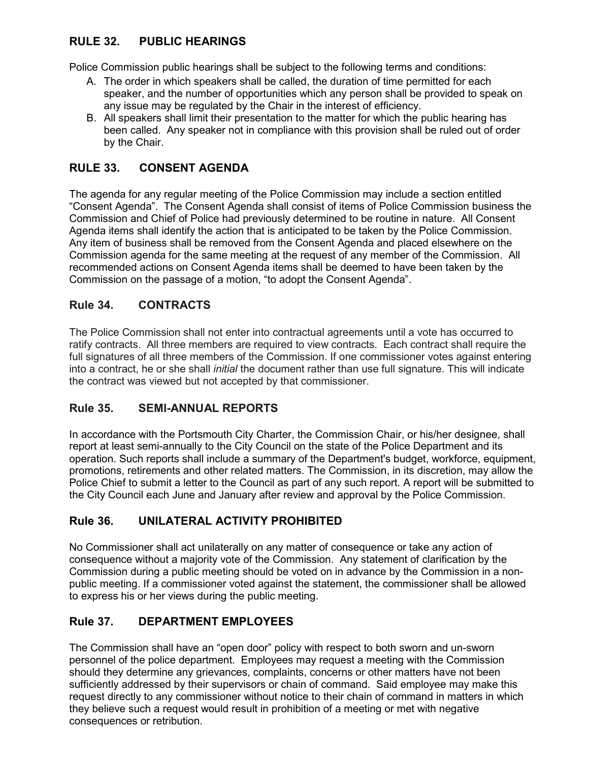# **RULE 32. PUBLIC HEARINGS**

Police Commission public hearings shall be subject to the following terms and conditions:

- A. The order in which speakers shall be called, the duration of time permitted for each speaker, and the number of opportunities which any person shall be provided to speak on any issue may be regulated by the Chair in the interest of efficiency.
- B. All speakers shall limit their presentation to the matter for which the public hearing has been called. Any speaker not in compliance with this provision shall be ruled out of order by the Chair.

### **RULE 33. CONSENT AGENDA**

The agenda for any regular meeting of the Police Commission may include a section entitled "Consent Agenda". The Consent Agenda shall consist of items of Police Commission business the Commission and Chief of Police had previously determined to be routine in nature. All Consent Agenda items shall identify the action that is anticipated to be taken by the Police Commission. Any item of business shall be removed from the Consent Agenda and placed elsewhere on the Commission agenda for the same meeting at the request of any member of the Commission. All recommended actions on Consent Agenda items shall be deemed to have been taken by the Commission on the passage of a motion, "to adopt the Consent Agenda".

### **Rule 34. CONTRACTS**

The Police Commission shall not enter into contractual agreements until a vote has occurred to ratify contracts. All three members are required to view contracts. Each contract shall require the full signatures of all three members of the Commission. If one commissioner votes against entering into a contract, he or she shall *initial* the document rather than use full signature. This will indicate the contract was viewed but not accepted by that commissioner.

### **Rule 35. SEMI-ANNUAL REPORTS**

In accordance with the Portsmouth City Charter, the Commission Chair, or his/her designee, shall report at least semi-annually to the City Council on the state of the Police Department and its operation. Such reports shall include a summary of the Department's budget, workforce, equipment, promotions, retirements and other related matters. The Commission, in its discretion, may allow the Police Chief to submit a letter to the Council as part of any such report. A report will be submitted to the City Council each June and January after review and approval by the Police Commission.

### **Rule 36. UNILATERAL ACTIVITY PROHIBITED**

No Commissioner shall act unilaterally on any matter of consequence or take any action of consequence without a majority vote of the Commission. Any statement of clarification by the Commission during a public meeting should be voted on in advance by the Commission in a nonpublic meeting. If a commissioner voted against the statement, the commissioner shall be allowed to express his or her views during the public meeting.

### **Rule 37. DEPARTMENT EMPLOYEES**

The Commission shall have an "open door" policy with respect to both sworn and un-sworn personnel of the police department. Employees may request a meeting with the Commission should they determine any grievances, complaints, concerns or other matters have not been sufficiently addressed by their supervisors or chain of command. Said employee may make this request directly to any commissioner without notice to their chain of command in matters in which they believe such a request would result in prohibition of a meeting or met with negative consequences or retribution.